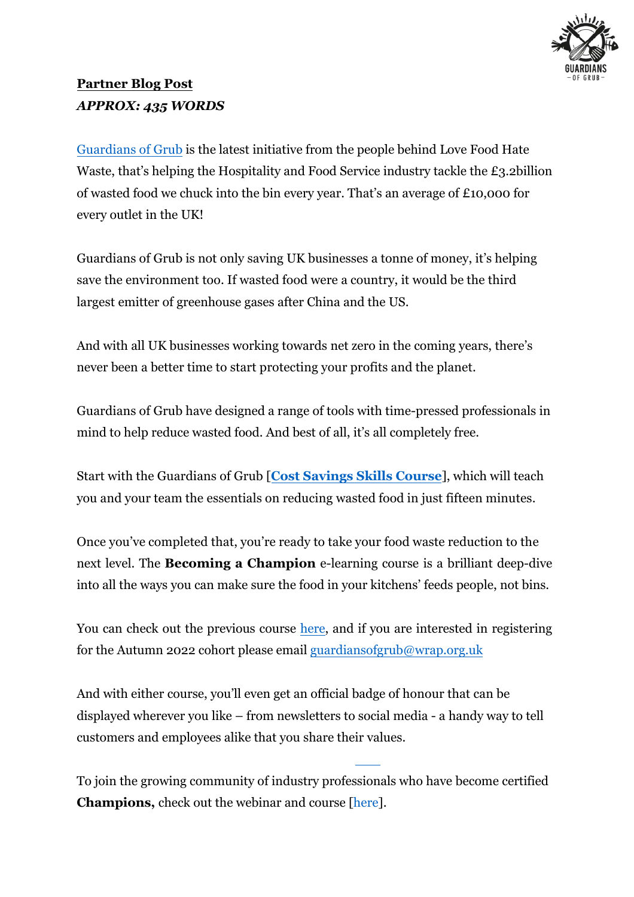

## **Partner Blog Post** *APPROX: 435 WORDS*

Guardians of Grub is the latest initiative from the people behind Love Food Hate [Waste, that's helpin](https://guardiansofgrub.com/)g the Hospitality and Food Service industry tackle the £3.2billion of wasted food we chuck into the bin every year. That's an average of £10,000 for every outlet in the UK!

Guardians of Grub is not only saving UK businesses a tonne of money, it's helping save the environment too. If wasted food were a country, it would be the third largest emitter of greenhouse gases after China and the US.

And with all UK businesses working towards net zero in the coming years, there's never been a better time to start protecting your profits and the planet.

Guardians of Grub have designed a range of tools with time-pressed professionals in mind to help reduce wasted food. And best of all, it's all completely free.

Start with the Guardians of Grub [**Cost Savings Skills Course**], which will teach you and your team the essentials on reducing [wasted food in just](https://guardiansofgrub.com/course/) fifteen minutes.

Once you've completed that, you're ready to take your food waste reduction to the next level. The **Becoming a Champion** e-learning course is a brilliant deep-dive into all the ways you can make sure the food in your kitchens' feeds people, not bins.

You can check out the previous course [here](https://guardiansofgrub.com/become-a-champion/), and if you are interested in registering for the Autumn 2022 cohort please email<guardiansofgrub@wrap.org.uk>

And with either course, you'll even get an official badge of honour that can be displayed wherever you like – from newsletters to social media - a handy way to tell customers and employees alike that you share their values.

To join the growing community of industry professionals who have become certified **Champions,** check out the webinar and course [here].